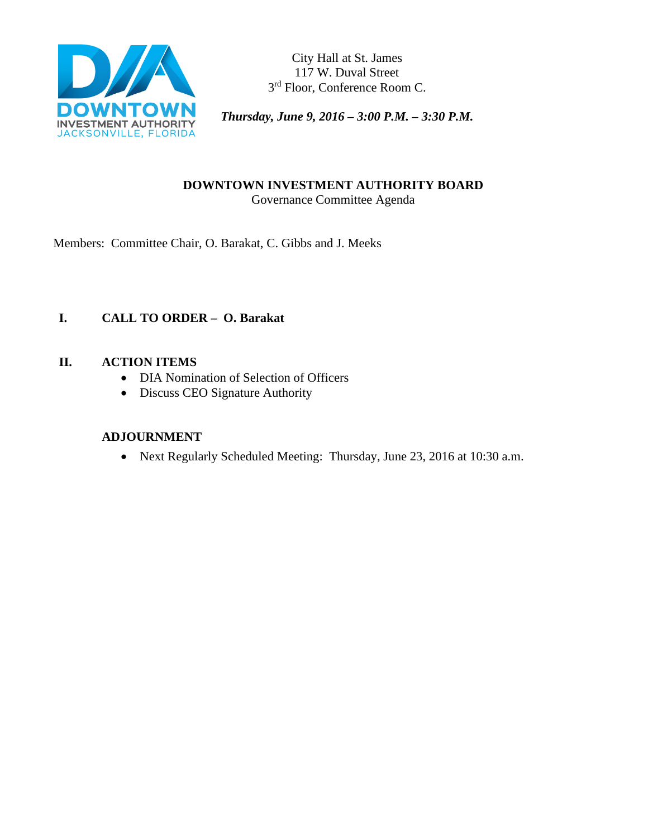

City Hall at St. James 117 W. Duval Street 3rd Floor, Conference Room C.

*Thursday, June 9, 2016 – 3:00 P.M. – 3:30 P.M.* 

### **DOWNTOWN INVESTMENT AUTHORITY BOARD** Governance Committee Agenda

Members: Committee Chair, O. Barakat, C. Gibbs and J. Meeks

# **I. CALL TO ORDER – O. Barakat**

# **II. ACTION ITEMS**

- DIA Nomination of Selection of Officers
- Discuss CEO Signature Authority

# **ADJOURNMENT**

• Next Regularly Scheduled Meeting: Thursday, June 23, 2016 at 10:30 a.m.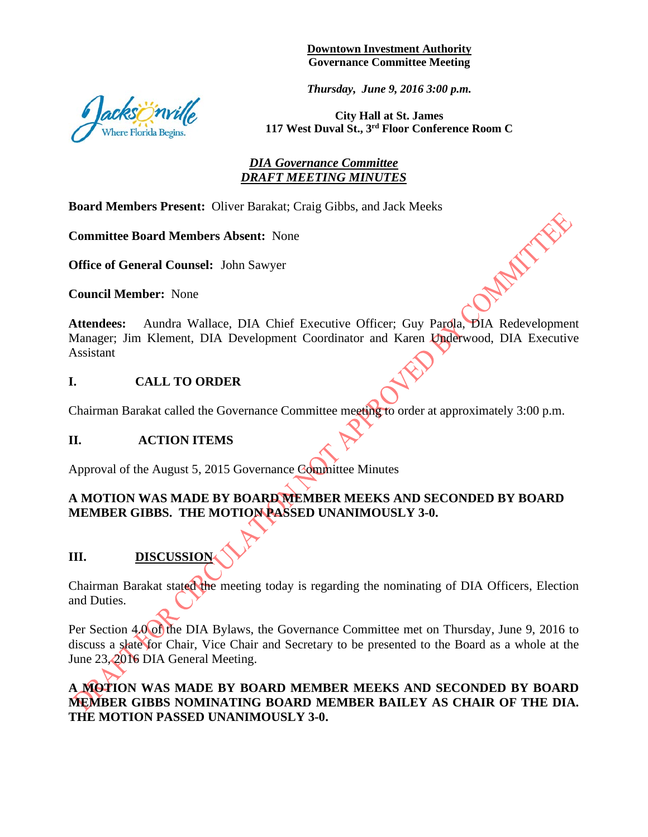#### **Downtown Investment Authority Governance Committee Meeting**

*Thursday, June 9, 2016 3:00 p.m.* 



**City Hall at St. James 117 West Duval St., 3rd Floor Conference Room C**

APAIN TES

# *DIA Governance Committee DRAFT MEETING MINUTES*

**Board Members Present:** Oliver Barakat; Craig Gibbs, and Jack Meeks

**Committee Board Members Absent:** None

**Office of General Counsel:** John Sawyer

**Council Member:** None

**Attendees:** Aundra Wallace, DIA Chief Executive Officer; Guy Parola, DIA Redevelopment Manager; Jim Klement, DIA Development Coordinator and Karen Underwood, DIA Executive Assistant

### **I. CALL TO ORDER**

Chairman Barakat called the Governance Committee meeting to order at approximately 3:00 p.m.

#### **II. ACTION ITEMS**

Approval of the August 5, 2015 Governance Committee Minutes

# **A MOTION WAS MADE BY BOARD MEMBER MEEKS AND SECONDED BY BOARD MEMBER GIBBS. THE MOTION PASSED UNANIMOUSLY 3-0.**

# **III. DISCUSSION**

Chairman Barakat stated the meeting today is regarding the nominating of DIA Officers, Election and Duties.

Per Section 4.0 of the DIA Bylaws, the Governance Committee met on Thursday, June 9, 2016 to discuss a slate for Chair, Vice Chair and Secretary to be presented to the Board as a whole at the June 23, 2016 DIA General Meeting.

# **A MOTION WAS MADE BY BOARD MEMBER MEEKS AND SECONDED BY BOARD MEMBER GIBBS NOMINATING BOARD MEMBER BAILEY AS CHAIR OF THE DIA. THE MOTION PASSED UNANIMOUSLY 3-0.**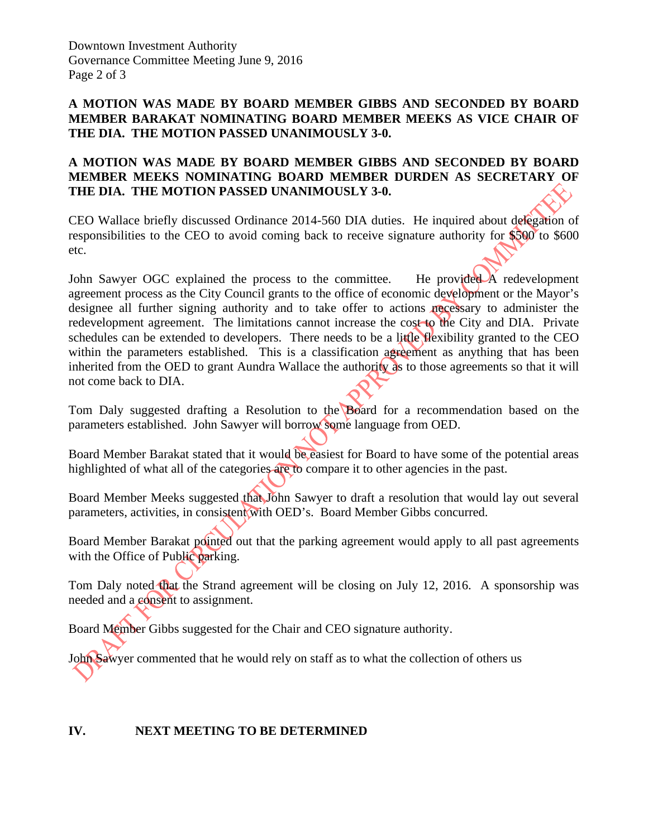# **A MOTION WAS MADE BY BOARD MEMBER GIBBS AND SECONDED BY BOARD MEMBER BARAKAT NOMINATING BOARD MEMBER MEEKS AS VICE CHAIR OF THE DIA. THE MOTION PASSED UNANIMOUSLY 3-0.**

# **A MOTION WAS MADE BY BOARD MEMBER GIBBS AND SECONDED BY BOARD MEMBER MEEKS NOMINATING BOARD MEMBER DURDEN AS SECRETARY OF THE DIA. THE MOTION PASSED UNANIMOUSLY 3-0.**

CEO Wallace briefly discussed Ordinance 2014-560 DIA duties. He inquired about delegation of responsibilities to the CEO to avoid coming back to receive signature authority for \$500 to \$600 etc.

John Sawyer OGC explained the process to the committee. He provided A redevelopment agreement process as the City Council grants to the office of economic development or the Mayor's designee all further signing authority and to take offer to actions necessary to administer the redevelopment agreement. The limitations cannot increase the cost to the City and DIA. Private schedules can be extended to developers. There needs to be a little flexibility granted to the CEO within the parameters established. This is a classification agreement as anything that has been inherited from the OED to grant Aundra Wallace the authority as to those agreements so that it will not come back to DIA.

Tom Daly suggested drafting a Resolution to the Board for a recommendation based on the parameters established. John Sawyer will borrow some language from OED.

Board Member Barakat stated that it would be easiest for Board to have some of the potential areas highlighted of what all of the categories are to compare it to other agencies in the past.

Board Member Meeks suggested that John Sawyer to draft a resolution that would lay out several parameters, activities, in consistent with OED's. Board Member Gibbs concurred.

Board Member Barakat pointed out that the parking agreement would apply to all past agreements with the Office of Public parking.

Tom Daly noted that the Strand agreement will be closing on July 12, 2016. A sponsorship was needed and a consent to assignment.

Board Member Gibbs suggested for the Chair and CEO signature authority.

John Sawyer commented that he would rely on staff as to what the collection of others us

# **IV. NEXT MEETING TO BE DETERMINED**